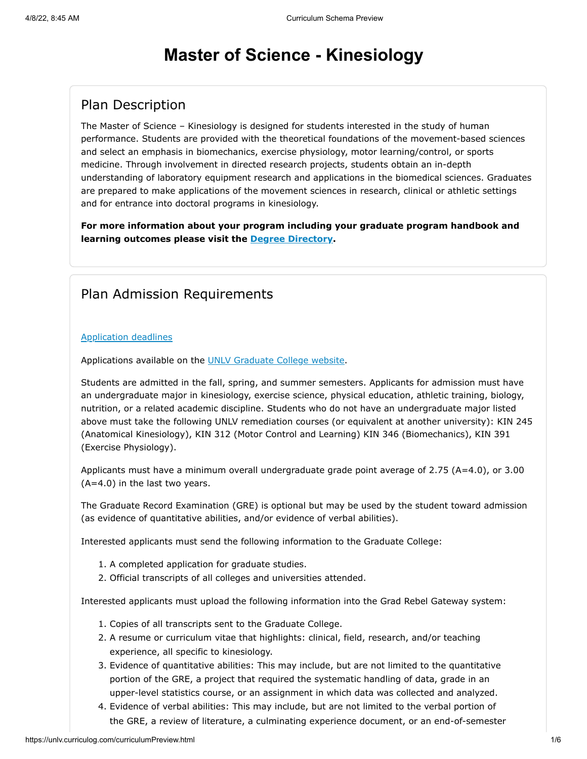# **Master of Science - Kinesiology**

### Plan Description

The Master of Science – Kinesiology is designed for students interested in the study of human performance. Students are provided with the theoretical foundations of the movement-based sciences and select an emphasis in biomechanics, exercise physiology, motor learning/control, or sports medicine. Through involvement in directed research projects, students obtain an in-depth understanding of laboratory equipment research and applications in the biomedical sciences. Graduates are prepared to make applications of the movement sciences in research, clinical or athletic settings and for entrance into doctoral programs in kinesiology.

**For more information about your program including your graduate program handbook and learning outcomes please visit the [Degree Directory](http://www.unlv.edu/degree/ms-kinesiology).**

#### Plan Admission Requirements

#### [Application deadlines](http://www.unlv.edu/graduatecollege/application-deadlines)

Applications available on the [UNLV Graduate College website.](http://graduatecollege.unlv.edu/admissions/)

Students are admitted in the fall, spring, and summer semesters. Applicants for admission must have an undergraduate major in kinesiology, exercise science, physical education, athletic training, biology, nutrition, or a related academic discipline. Students who do not have an undergraduate major listed above must take the following UNLV remediation courses (or equivalent at another university): KIN 245 (Anatomical Kinesiology), KIN 312 (Motor Control and Learning) KIN 346 (Biomechanics), KIN 391 (Exercise Physiology).

Applicants must have a minimum overall undergraduate grade point average of 2.75 (A=4.0), or 3.00 (A=4.0) in the last two years.

The Graduate Record Examination (GRE) is optional but may be used by the student toward admission (as evidence of quantitative abilities, and/or evidence of verbal abilities).

Interested applicants must send the following information to the Graduate College:

- 1. A completed application for graduate studies.
- 2. Official transcripts of all colleges and universities attended.

Interested applicants must upload the following information into the Grad Rebel Gateway system:

- 1. Copies of all transcripts sent to the Graduate College.
- 2. A resume or curriculum vitae that highlights: clinical, field, research, and/or teaching experience, all specific to kinesiology.
- 3. Evidence of quantitative abilities: This may include, but are not limited to the quantitative portion of the GRE, a project that required the systematic handling of data, grade in an upper-level statistics course, or an assignment in which data was collected and analyzed.
- 4. Evidence of verbal abilities: This may include, but are not limited to the verbal portion of the GRE, a review of literature, a culminating experience document, or an end-of-semester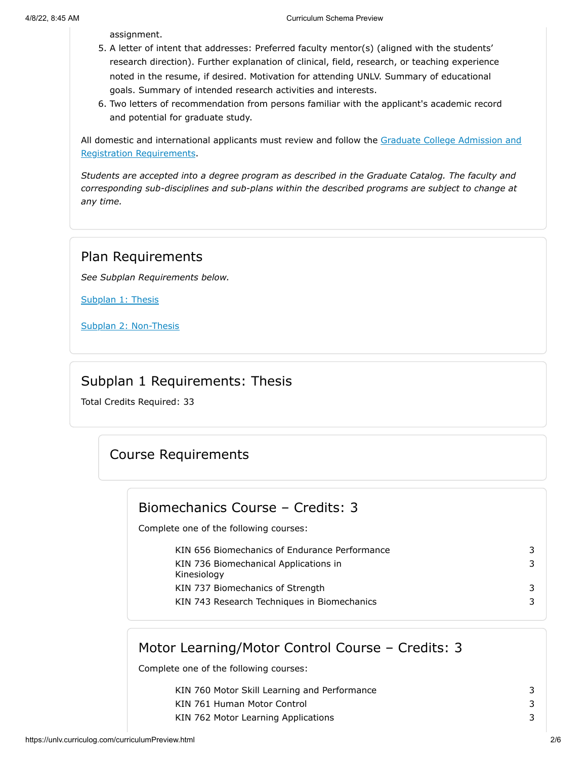assignment.

- 5. A letter of intent that addresses: Preferred faculty mentor(s) (aligned with the students' research direction). Further explanation of clinical, field, research, or teaching experience noted in the resume, if desired. Motivation for attending UNLV. Summary of educational goals. Summary of intended research activities and interests.
- 6. Two letters of recommendation from persons familiar with the applicant's academic record and potential for graduate study.

[All domestic and international applicants must review and follow the Graduate College Admission and](http://www.unlv.edu/graduatecollege/futurestudents) Registration Requirements.

*Students are accepted into a degree program as described in the Graduate Catalog. The faculty and corresponding sub-disciplines and sub-plans within the described programs are subject to change at any time.*

### Plan Requirements

*See Subplan Requirements below.*

[Subplan 1: Thesis](#page-1-0)

[Subplan 2: Non-Thesis](#page-3-0)

#### Subplan 1 Requirements: Thesis

<span id="page-1-0"></span>Total Credits Required: 33

# Course Requirements

#### Biomechanics Course – Credits: 3

Complete one of the following courses:

KIN 656 Biomechanics of Endurance Performance 3 KIN 736 Biomechanical Applications in Kinesiology KIN 737 Biomechanics of Strength 3 KIN 743 Research Techniques in Biomechanics 3

# Motor Learning/Motor Control Course – Credits: 3

Complete one of the following courses:

| KIN 760 Motor Skill Learning and Performance |  |
|----------------------------------------------|--|
| KIN 761 Human Motor Control                  |  |
| KIN 762 Motor Learning Applications          |  |

3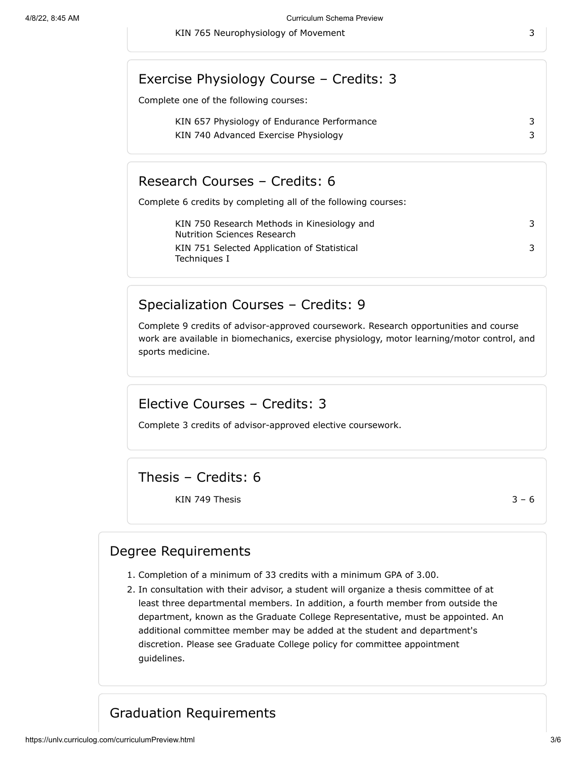#### Exercise Physiology Course – Credits: 3

Complete one of the following courses:

KIN 657 Physiology of Endurance Performance 3 KIN 740 Advanced Exercise Physiology 3

Research Courses – Credits: 6

Complete 6 credits by completing all of the following courses:

| KIN 750 Research Methods in Kinesiology and<br>Nutrition Sciences Research |  |
|----------------------------------------------------------------------------|--|
| KIN 751 Selected Application of Statistical<br>Techniques I                |  |

#### Specialization Courses – Credits: 9

Complete 9 credits of advisor-approved coursework. Research opportunities and course work are available in biomechanics, exercise physiology, motor learning/motor control, and sports medicine.

#### Elective Courses – Credits: 3

Complete 3 credits of advisor-approved elective coursework.

Thesis – Credits: 6

KIN 749 Thesis  $3 - 6$ 

#### Degree Requirements

- 1. Completion of a minimum of 33 credits with a minimum GPA of 3.00.
- 2. In consultation with their advisor, a student will organize a thesis committee of at least three departmental members. In addition, a fourth member from outside the department, known as the Graduate College Representative, must be appointed. An additional committee member may be added at the student and department's discretion. Please see Graduate College policy for committee appointment guidelines.

#### Graduation Requirements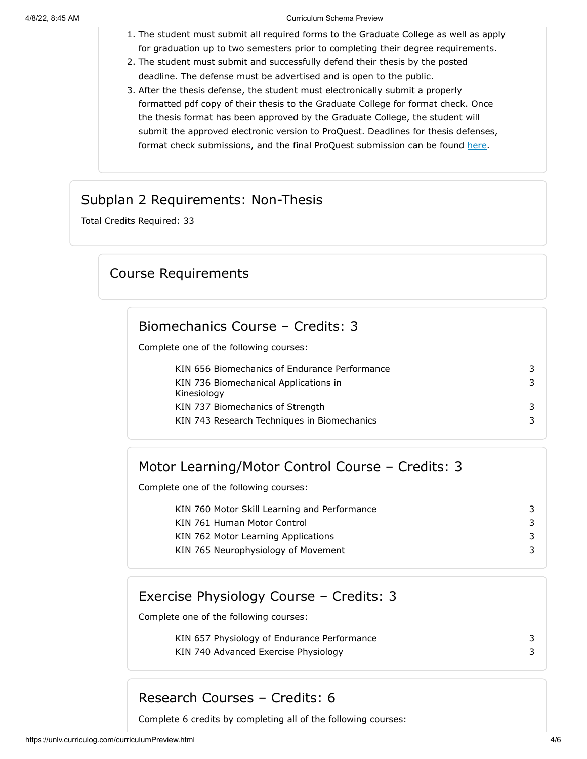#### 4/8/22, 8:45 AM Curriculum Schema Preview

- 1. The student must submit all required forms to the Graduate College as well as apply for graduation up to two semesters prior to completing their degree requirements.
- 2. The student must submit and successfully defend their thesis by the posted deadline. The defense must be advertised and is open to the public.
- 3. After the thesis defense, the student must electronically submit a properly formatted pdf copy of their thesis to the Graduate College for format check. Once the thesis format has been approved by the Graduate College, the student will submit the approved electronic version to ProQuest. Deadlines for thesis defenses, format check submissions, and the final ProQuest submission can be found [here.](https://www.unlv.edu/graduatecollege/graduation-deadlines)

#### Subplan 2 Requirements: Non-Thesis

<span id="page-3-0"></span>Total Credits Required: 33

#### Course Requirements

#### Biomechanics Course – Credits: 3

Complete one of the following courses:

| KIN 656 Biomechanics of Endurance Performance        | 3 |
|------------------------------------------------------|---|
| KIN 736 Biomechanical Applications in<br>Kinesiology | 3 |
| KIN 737 Biomechanics of Strength                     | 3 |
| KIN 743 Research Techniques in Biomechanics          | 3 |

### Motor Learning/Motor Control Course – Credits: 3

Complete one of the following courses:

KIN 760 Motor Skill Learning and Performance 33 KIN 761 Human Motor Control 3 KIN 762 Motor Learning Applications 3 KIN 765 Neurophysiology of Movement 33

#### Exercise Physiology Course – Credits: 3

Complete one of the following courses:

| KIN 657 Physiology of Endurance Performance |  |
|---------------------------------------------|--|
| KIN 740 Advanced Exercise Physiology        |  |

#### Research Courses – Credits: 6

Complete 6 credits by completing all of the following courses: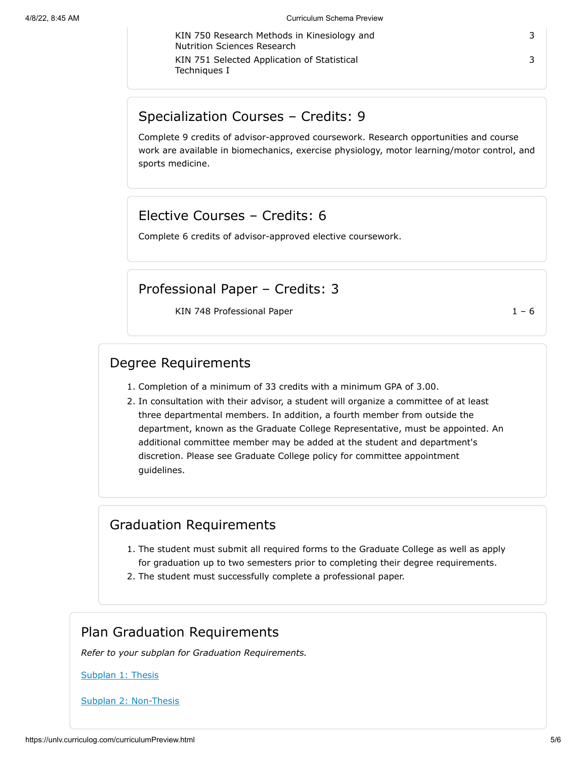KIN 750 Research Methods in Kinesiology and Nutrition Sciences Research KIN 751 Selected Application of Statistical Techniques I

3

#### 3

#### Specialization Courses – Credits: 9

Complete 9 credits of advisor-approved coursework. Research opportunities and course work are available in biomechanics, exercise physiology, motor learning/motor control, and sports medicine.

#### Elective Courses – Credits: 6

Complete 6 credits of advisor-approved elective coursework.

#### Professional Paper – Credits: 3

KIN 748 Professional Paper 1 – 6

#### Degree Requirements

- 1. Completion of a minimum of 33 credits with a minimum GPA of 3.00.
- 2. In consultation with their advisor, a student will organize a committee of at least three departmental members. In addition, a fourth member from outside the department, known as the Graduate College Representative, must be appointed. An additional committee member may be added at the student and department's discretion. Please see Graduate College policy for committee appointment guidelines.

#### Graduation Requirements

- 1. The student must submit all required forms to the Graduate College as well as apply for graduation up to two semesters prior to completing their degree requirements.
- 2. The student must successfully complete a professional paper.

## Plan Graduation Requirements

*Refer to your subplan for Graduation Requirements.*

#### [Subplan 1: Thesis](#page-1-0)

[Subplan 2: Non-Thesis](#page-3-0)